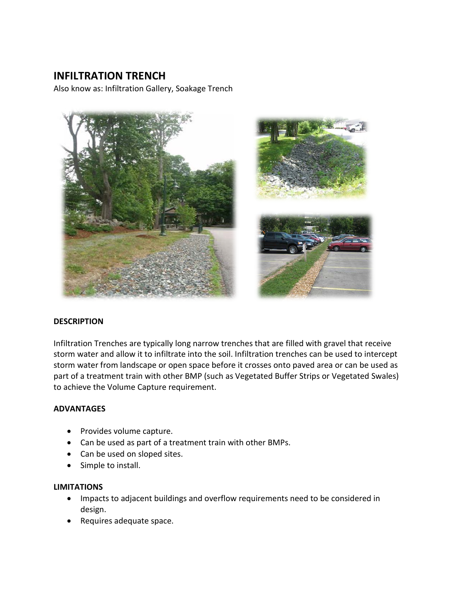# **INFILTRATION TRENCH**

Also know as: Infiltration Gallery, Soakage Trench



#### **DESCRIPTION**

Infiltration Trenches are typically long narrow trenches that are filled with gravel that receive storm water and allow it to infiltrate into the soil. Infiltration trenches can be used to intercept storm water from landscape or open space before it crosses onto paved area or can be used as part of a treatment train with other BMP (such as Vegetated Buffer Strips or Vegetated Swales) to achieve the Volume Capture requirement.

#### **ADVANTAGES**

- Provides volume capture.
- Can be used as part of a treatment train with other BMPs.
- Can be used on sloped sites.
- Simple to install.

#### **LIMITATIONS**

- Impacts to adjacent buildings and overflow requirements need to be considered in design.
- Requires adequate space.